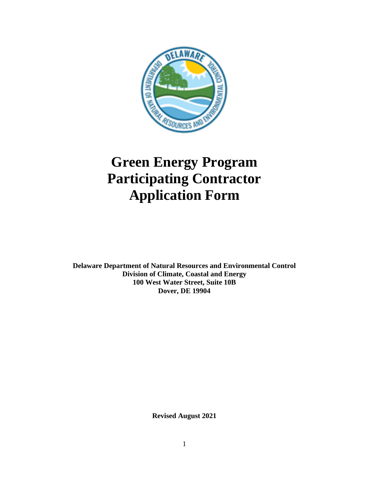

# **Green Energy Program Participating Contractor Application Form**

**Delaware Department of Natural Resources and Environmental Control Division of Climate, Coastal and Energy 100 West Water Street, Suite 10B Dover, DE 19904**

**Revised August 2021**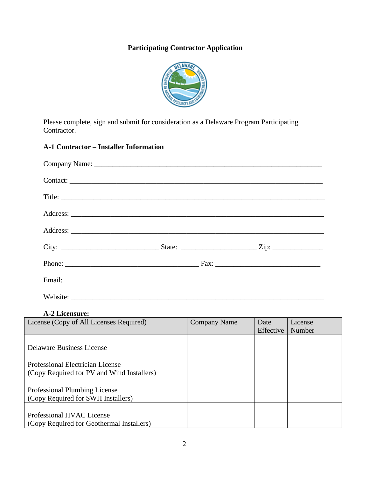# **Participating Contractor Application**



Please complete, sign and submit for consideration as a Delaware Program Participating Contractor.

# **A-1 Contractor – Installer Information**

| Contact: |  |  |
|----------|--|--|
|          |  |  |
|          |  |  |
|          |  |  |
|          |  |  |
|          |  |  |
|          |  |  |
|          |  |  |

**A-2 Licensure:**

| License (Copy of All Licenses Required)    | <b>Company Name</b> | Date      | License |
|--------------------------------------------|---------------------|-----------|---------|
|                                            |                     | Effective | Number  |
|                                            |                     |           |         |
| <b>Delaware Business License</b>           |                     |           |         |
|                                            |                     |           |         |
| <b>Professional Electrician License</b>    |                     |           |         |
| (Copy Required for PV and Wind Installers) |                     |           |         |
|                                            |                     |           |         |
| Professional Plumbing License              |                     |           |         |
| (Copy Required for SWH Installers)         |                     |           |         |
|                                            |                     |           |         |
| Professional HVAC License                  |                     |           |         |
| (Copy Required for Geothermal Installers)  |                     |           |         |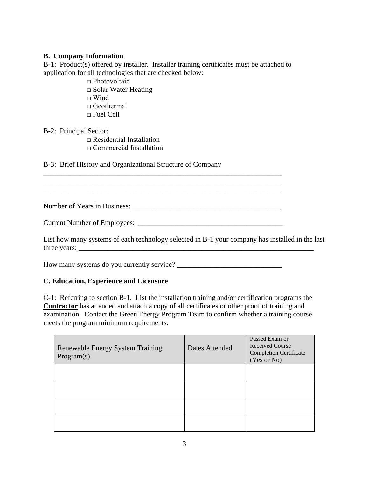### **B. Company Information**

B-1: Product(s) offered by installer. Installer training certificates must be attached to application for all technologies that are checked below:

□ Photovoltaic □ Solar Water Heating  $\sqcap$  Wind □ Geothermal  $\Box$  Fuel Cell

#### B-2: Principal Sector:

 $\Box$  Residential Installation □ Commercial Installation

B-3: Brief History and Organizational Structure of Company

Number of Years in Business: \_\_\_\_\_\_\_\_\_\_\_\_\_\_\_\_\_\_\_\_\_\_\_\_\_\_\_\_\_\_\_\_\_\_\_\_\_\_\_\_\_

Current Number of Employees:

\_\_\_\_\_\_\_\_\_\_\_\_\_\_\_\_\_\_\_\_\_\_\_\_\_\_\_\_\_\_\_\_\_\_\_\_\_\_\_\_\_\_\_\_\_\_\_\_\_\_\_\_\_\_\_\_\_\_\_\_\_\_\_\_\_\_

\_\_\_\_\_\_\_\_\_\_\_\_\_\_\_\_\_\_\_\_\_\_\_\_\_\_\_\_\_\_\_\_\_\_\_\_\_\_\_\_\_\_\_\_\_\_\_\_\_\_\_\_\_\_\_\_\_\_\_\_\_\_\_\_\_\_

List how many systems of each technology selected in B-1 your company has installed in the last three years:

How many systems do you currently service? \_\_\_\_\_\_\_\_\_\_\_\_\_\_\_\_\_\_\_\_\_\_\_\_\_\_\_\_\_

# **C. Education, Experience and Licensure**

C-1: Referring to section B-1. List the installation training and/or certification programs the **Contractor** has attended and attach a copy of all certificates or other proof of training and examination. Contact the Green Energy Program Team to confirm whether a training course meets the program minimum requirements.

| <b>Renewable Energy System Training</b><br>Program(s) | Dates Attended | Passed Exam or<br><b>Received Course</b><br><b>Completion Certificate</b><br>(Yes or No) |
|-------------------------------------------------------|----------------|------------------------------------------------------------------------------------------|
|                                                       |                |                                                                                          |
|                                                       |                |                                                                                          |
|                                                       |                |                                                                                          |
|                                                       |                |                                                                                          |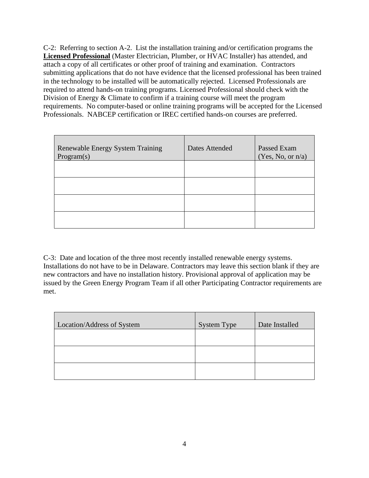C-2: Referring to section A-2. List the installation training and/or certification programs the **Licensed Professional** (Master Electrician, Plumber, or HVAC Installer) has attended, and attach a copy of all certificates or other proof of training and examination. Contractors submitting applications that do not have evidence that the licensed professional has been trained in the technology to be installed will be automatically rejected. Licensed Professionals are required to attend hands-on training programs. Licensed Professional should check with the Division of Energy & Climate to confirm if a training course will meet the program requirements. No computer-based or online training programs will be accepted for the Licensed Professionals. NABCEP certification or IREC certified hands-on courses are preferred.

| Renewable Energy System Training<br>Program(s) | Dates Attended | Passed Exam<br>(Yes, No, or n/a) |
|------------------------------------------------|----------------|----------------------------------|
|                                                |                |                                  |
|                                                |                |                                  |
|                                                |                |                                  |
|                                                |                |                                  |

C-3: Date and location of the three most recently installed renewable energy systems. Installations do not have to be in Delaware. Contractors may leave this section blank if they are new contractors and have no installation history. Provisional approval of application may be issued by the Green Energy Program Team if all other Participating Contractor requirements are met.

| Location/Address of System | <b>System Type</b> | Date Installed |
|----------------------------|--------------------|----------------|
|                            |                    |                |
|                            |                    |                |
|                            |                    |                |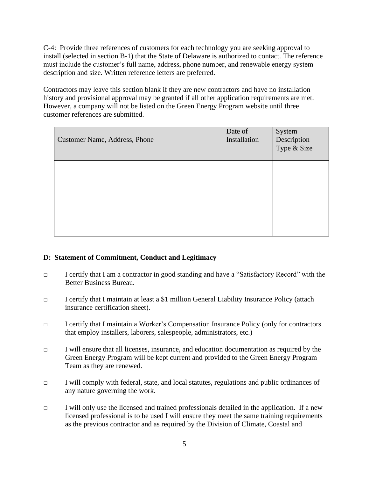C-4: Provide three references of customers for each technology you are seeking approval to install (selected in section B-1) that the State of Delaware is authorized to contact. The reference must include the customer's full name, address, phone number, and renewable energy system description and size. Written reference letters are preferred.

Contractors may leave this section blank if they are new contractors and have no installation history and provisional approval may be granted if all other application requirements are met. However, a company will not be listed on the Green Energy Program website until three customer references are submitted.

| Customer Name, Address, Phone | Date of<br>Installation | System<br>Description<br>Type & Size |
|-------------------------------|-------------------------|--------------------------------------|
|                               |                         |                                      |
|                               |                         |                                      |
|                               |                         |                                      |

# **D: Statement of Commitment, Conduct and Legitimacy**

- □ I certify that I am a contractor in good standing and have a "Satisfactory Record" with the Better Business Bureau.
- □ I certify that I maintain at least a \$1 million General Liability Insurance Policy (attach insurance certification sheet).
- □ I certify that I maintain a Worker's Compensation Insurance Policy (only for contractors that employ installers, laborers, salespeople, administrators, etc.)
- □ I will ensure that all licenses, insurance, and education documentation as required by the Green Energy Program will be kept current and provided to the Green Energy Program Team as they are renewed.
- □ I will comply with federal, state, and local statutes, regulations and public ordinances of any nature governing the work.
- $\Box$  I will only use the licensed and trained professionals detailed in the application. If a new licensed professional is to be used I will ensure they meet the same training requirements as the previous contractor and as required by the Division of Climate, Coastal and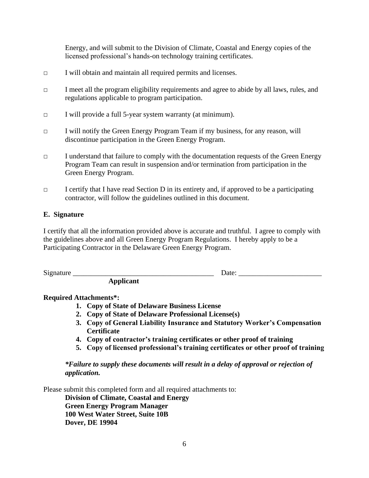Energy, and will submit to the Division of Climate, Coastal and Energy copies of the licensed professional's hands-on technology training certificates.

- □ I will obtain and maintain all required permits and licenses.
- □ I meet all the program eligibility requirements and agree to abide by all laws, rules, and regulations applicable to program participation.
- □ I will provide a full 5-year system warranty (at minimum).
- □ I will notify the Green Energy Program Team if my business, for any reason, will discontinue participation in the Green Energy Program.
- □ I understand that failure to comply with the documentation requests of the Green Energy Program Team can result in suspension and/or termination from participation in the Green Energy Program.
- □ I certify that I have read Section D in its entirety and, if approved to be a participating contractor, will follow the guidelines outlined in this document.

#### **E. Signature**

I certify that all the information provided above is accurate and truthful. I agree to comply with the guidelines above and all Green Energy Program Regulations. I hereby apply to be a Participating Contractor in the Delaware Green Energy Program.

Signature  $\Box$ 

**Applicant**

# **Required Attachments\*:**

- **1. Copy of State of Delaware Business License**
- **2. Copy of State of Delaware Professional License(s)**
- **3. Copy of General Liability Insurance and Statutory Worker's Compensation Certificate**
- **4. Copy of contractor's training certificates or other proof of training**
- **5. Copy of licensed professional's training certificates or other proof of training**

*\*Failure to supply these documents will result in a delay of approval or rejection of application.*

Please submit this completed form and all required attachments to:

**Division of Climate, Coastal and Energy Green Energy Program Manager 100 West Water Street, Suite 10B Dover, DE 19904**